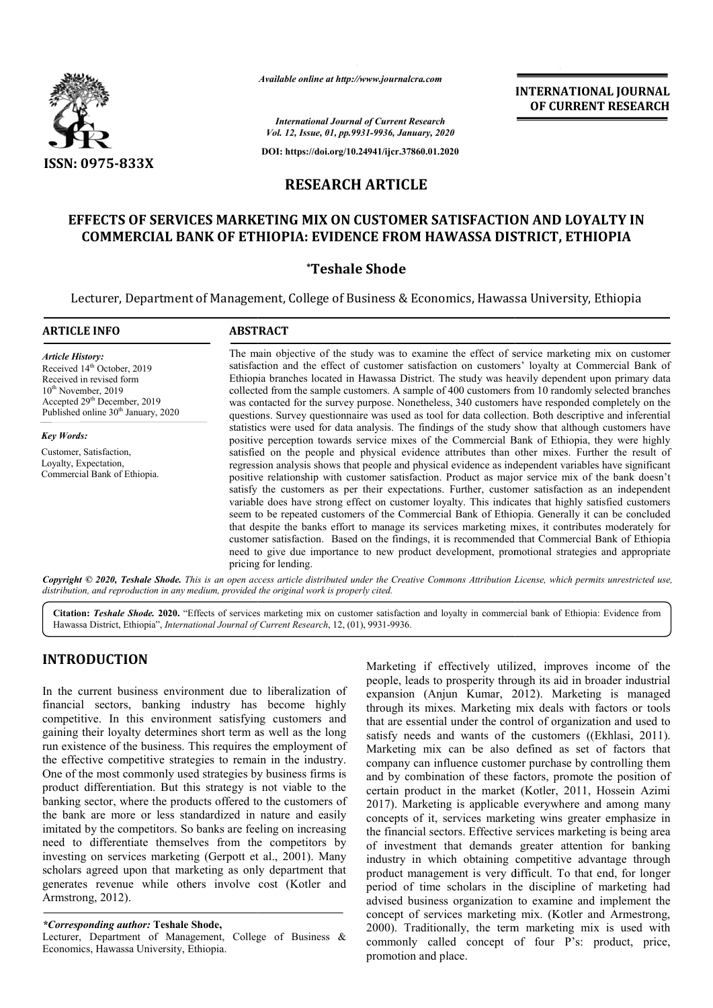

*Available online at http://www.journalcra.com*

**INTERNATIONAL JOURNAL OF CURRENT RESEARCH**

*International Journal of Current Research Vol. 12, Issue, 01, pp.9931-9936, January, 2020*

**DOI: https://doi.org/10.24941/ijcr.37860.01.2020**

# **RESEARCH ARTICLE**

# EFFECTS OF SERVICES MARKETING MIX ON CUSTOMER SATISFACTION AND LOYALTY IN **COMMERCIAL BANK OF ETHIOPIA: EVIDENCE FROM HAWASSA DISTRICT, ETHIOPIA BANK OF**

## **\*Teshale Shode**

Lecturer, Department of Management, College of Business & Economics, Hawassa University, Ethiopia Lecturer,

| <b>ARTICLE INFO</b>                                                                                                                                                                                                    | <b>ABSTRACT</b>                                                                                                                                                                                                                                                                                                                                                                                                                                                                                                                                                                                                                                                                                                                                                                                                                                                                                                                                                      |
|------------------------------------------------------------------------------------------------------------------------------------------------------------------------------------------------------------------------|----------------------------------------------------------------------------------------------------------------------------------------------------------------------------------------------------------------------------------------------------------------------------------------------------------------------------------------------------------------------------------------------------------------------------------------------------------------------------------------------------------------------------------------------------------------------------------------------------------------------------------------------------------------------------------------------------------------------------------------------------------------------------------------------------------------------------------------------------------------------------------------------------------------------------------------------------------------------|
| <b>Article History:</b><br>Received 14 <sup>th</sup> October, 2019<br>Received in revised form<br>$10th$ November, 2019<br>Accepted 29 <sup>th</sup> December, 2019<br>Published online 30 <sup>th</sup> January, 2020 | The main objective of the study was to examine the effect of service marketing mix on customer<br>satisfaction and the effect of customer satisfaction on customers' loyalty at Commercial Bank of<br>Ethiopia branches located in Hawassa District. The study was heavily dependent upon primary data<br>collected from the sample customers. A sample of 400 customers from 10 randomly selected branches<br>was contacted for the survey purpose. Nonetheless, 340 customers have responded completely on the<br>questions. Survey questionnaire was used as tool for data collection. Both descriptive and inferential                                                                                                                                                                                                                                                                                                                                           |
| <b>Key Words:</b>                                                                                                                                                                                                      | statistics were used for data analysis. The findings of the study show that although customers have<br>positive perception towards service mixes of the Commercial Bank of Ethiopia, they were highly                                                                                                                                                                                                                                                                                                                                                                                                                                                                                                                                                                                                                                                                                                                                                                |
| Customer, Satisfaction,<br>Loyalty, Expectation,<br>Commercial Bank of Ethiopia.                                                                                                                                       | satisfied on the people and physical evidence attributes than other mixes. Further the result of<br>regression analysis shows that people and physical evidence as independent variables have significant<br>positive relationship with customer satisfaction. Product as major service mix of the bank doesn't<br>satisfy the customers as per their expectations. Further, customer satisfaction as an independent<br>variable does have strong effect on customer loyalty. This indicates that highly satisfied customers<br>seem to be repeated customers of the Commercial Bank of Ethiopia. Generally it can be concluded<br>that despite the banks effort to manage its services marketing mixes, it contributes moderately for<br>customer satisfaction. Based on the findings, it is recommended that Commercial Bank of Ethiopia<br>need to give due importance to new product development, promotional strategies and appropriate<br>pricing for lending. |

Copyright © 2020, Teshale Shode. This is an open access article distributed under the Creative Commons Attribution License, which permits unrestricted use, *distribution, and reproduction in any medium, provided the original work is properly cited.*

Citation: Teshale Shode. 2020. "Effects of services marketing mix on customer satisfaction and loyalty in commercial bank of Ethiopia: Evidence from Hawassa District, Ethiopia", *International Journal of Current Research*, 12, (01), 9931-9936.

# **INTRODUCTION**

In the current business environment due to liberalization of financial sectors, banking industry has become highly competitive. In this environment satisfying customers and gaining their loyalty determines short term as well as the long run existence of the business. This requires the employment of the effective competitive strategies to remain in the industry. One of the most commonly used strategies by business firms is product differentiation. But this strategy is not viable to the banking sector, where the products offered to the customers of the bank are more or less standardized in nature and easily imitated by the competitors. So banks are feeling on increasing need to differentiate themselves from the competitors by investing on services marketing (Gerpott et al., 2001) 2001). Many scholars agreed upon that marketing as only department that generates revenue while others involve cost (Kotler and Armstrong, 2012). Ity determines short term as well as the long<br>he business. This requires the employment of<br>petitive strategies to remain in the industry.<br>ommonly used strategies by business firms is<br>ation. But this strategy is not viable

## *\*Corresponding author:* **Teshale Shode,**

Lecturer, Department of Management, College of Business & Economics, Hawassa University, Ethiopia.

Marketing if effectively utilized, improves income of the people, leads to prosperity through its aid in broader industrial expansion (Anjun Kumar, 2012). Marketing is managed through its mixes. Marketing mix deals with factors or tools that are essential under the control of organization and used to satisfy needs and wants of the customers ((Ekhlasi, 2011). Marketing mix can be also defined as set of factors that company can influence customer purchase by controlling them and by combination of these factors, promote the position of certain product in the market (Kotler, 2011, Hossein Azimi 2017). Marketing is applicable everywhere and among many concepts of it, services marketing wins greater emphasize in the financial sectors. Effective services marketing is being area of investment that demands greater attention for banking industry in which obtaining competitive advantage through product management is very difficult. To that end, for longer period of time scholars in the discipline of marketing had advised business organization to examine and implement the concept of services marketing mix. (Kotler and Armestrong, 2000). Traditionally, the term marketing mix is used with commonly called concept of four P's: product, price, promotion and place. Marketing if effectively utilized, improves income of the people, leads to prosperity through its aid in broader industrial expansion (Anjun Kumar, 2012). Marketing is managed through its mixes. Marketing mix deals with fa nce customer purchase by controlling them<br>1 of these factors, promote the position of<br>the market (Kotler, 2011, Hossein Azimi 2017). Marketing is applicable everywhere and among many concepts of it, services marketing wins greater emphasize in the financial sectors. Effective services marketing is being area of investment that demands greater att **INTERNATIONAL JOURNAL TONAL JOURNAL FORMATIONAL JOURNAL FORMATIONAL JOURNAL TO COURRENT RESEARCH (FOURNEY ARSON DET AND LOYALTY IN THE SURFAME CONTROL (FOURNEY ASSAET (FIFTED AND AND LOYALTY IN THE SURFAME CONTROL IS A CO**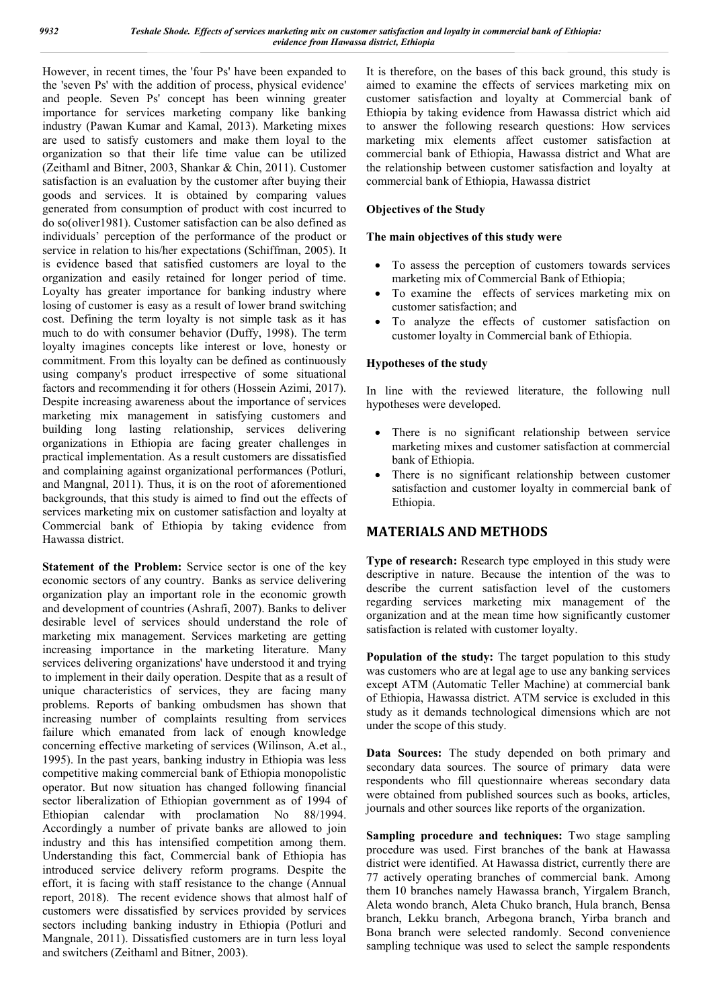However, in recent times, the 'four Ps' have been expanded to the 'seven Ps' with the addition of process, physical evidence' and people. Seven Ps' concept has been winning greater importance for services marketing company like banking industry (Pawan Kumar and Kamal, 2013). Marketing mixes are used to satisfy customers and make them loyal to the organization so that their life time value can be utilized (Zeithaml and Bitner, 2003, Shankar & Chin, 2011). Customer satisfaction is an evaluation by the customer after buying their goods and services. It is obtained by comparing values generated from consumption of product with cost incurred to do so(oliver1981). Customer satisfaction can be also defined as individuals' perception of the performance of the product or service in relation to his/her expectations (Schiffman, 2005). It is evidence based that satisfied customers are loyal to the organization and easily retained for longer period of time. Loyalty has greater importance for banking industry where losing of customer is easy as a result of lower brand switching cost. Defining the term loyalty is not simple task as it has much to do with consumer behavior (Duffy, 1998). The term loyalty imagines concepts like interest or love, honesty or commitment. From this loyalty can be defined as continuously using company's product irrespective of some situational factors and recommending it for others (Hossein Azimi, 2017). Despite increasing awareness about the importance of services marketing mix management in satisfying customers and building long lasting relationship, services delivering organizations in Ethiopia are facing greater challenges in practical implementation. As a result customers are dissatisfied and complaining against organizational performances (Potluri, and Mangnal, 2011). Thus, it is on the root of aforementioned backgrounds, that this study is aimed to find out the effects of services marketing mix on customer satisfaction and loyalty at Commercial bank of Ethiopia by taking evidence from Hawassa district.

**Statement of the Problem:** Service sector is one of the key economic sectors of any country. Banks as service delivering organization play an important role in the economic growth and development of countries (Ashrafi, 2007). Banks to deliver desirable level of services should understand the role of marketing mix management. Services marketing are getting increasing importance in the marketing literature. Many services delivering organizations' have understood it and trying to implement in their daily operation. Despite that as a result of unique characteristics of services, they are facing many problems. Reports of banking ombudsmen has shown that increasing number of complaints resulting from services failure which emanated from lack of enough knowledge concerning effective marketing of services (Wilinson, A.et al., 1995). In the past years, banking industry in Ethiopia was less competitive making commercial bank of Ethiopia monopolistic operator. But now situation has changed following financial sector liberalization of Ethiopian government as of 1994 of Ethiopian calendar with proclamation No 88/1994. Accordingly a number of private banks are allowed to join industry and this has intensified competition among them. Understanding this fact, Commercial bank of Ethiopia has introduced service delivery reform programs. Despite the effort, it is facing with staff resistance to the change (Annual report, 2018). The recent evidence shows that almost half of customers were dissatisfied by services provided by services sectors including banking industry in Ethiopia (Potluri and Mangnale, 2011). Dissatisfied customers are in turn less loyal and switchers (Zeithaml and Bitner, 2003).

It is therefore, on the bases of this back ground, this study is aimed to examine the effects of services marketing mix on customer satisfaction and loyalty at Commercial bank of Ethiopia by taking evidence from Hawassa district which aid to answer the following research questions: How services marketing mix elements affect customer satisfaction at commercial bank of Ethiopia, Hawassa district and What are the relationship between customer satisfaction and loyalty at commercial bank of Ethiopia, Hawassa district

### **Objectives of the Study**

### **The main objectives of this study were**

- To assess the perception of customers towards services marketing mix of Commercial Bank of Ethiopia;
- To examine the effects of services marketing mix on customer satisfaction; and
- To analyze the effects of customer satisfaction on customer loyalty in Commercial bank of Ethiopia.

## **Hypotheses of the study**

In line with the reviewed literature, the following null hypotheses were developed.

- There is no significant relationship between service marketing mixes and customer satisfaction at commercial bank of Ethiopia.
- There is no significant relationship between customer satisfaction and customer loyalty in commercial bank of Ethiopia.

# **MATERIALS AND METHODS**

**Type of research:** Research type employed in this study were descriptive in nature. Because the intention of the was to describe the current satisfaction level of the customers regarding services marketing mix management of the organization and at the mean time how significantly customer satisfaction is related with customer loyalty.

Population of the study: The target population to this study was customers who are at legal age to use any banking services except ATM (Automatic Teller Machine) at commercial bank of Ethiopia, Hawassa district. ATM service is excluded in this study as it demands technological dimensions which are not under the scope of this study.

**Data Sources:** The study depended on both primary and secondary data sources. The source of primary data were respondents who fill questionnaire whereas secondary data were obtained from published sources such as books, articles, journals and other sources like reports of the organization.

**Sampling procedure and techniques:** Two stage sampling procedure was used. First branches of the bank at Hawassa district were identified. At Hawassa district, currently there are 77 actively operating branches of commercial bank. Among them 10 branches namely Hawassa branch, Yirgalem Branch, Aleta wondo branch, Aleta Chuko branch, Hula branch, Bensa branch, Lekku branch, Arbegona branch, Yirba branch and Bona branch were selected randomly. Second convenience sampling technique was used to select the sample respondents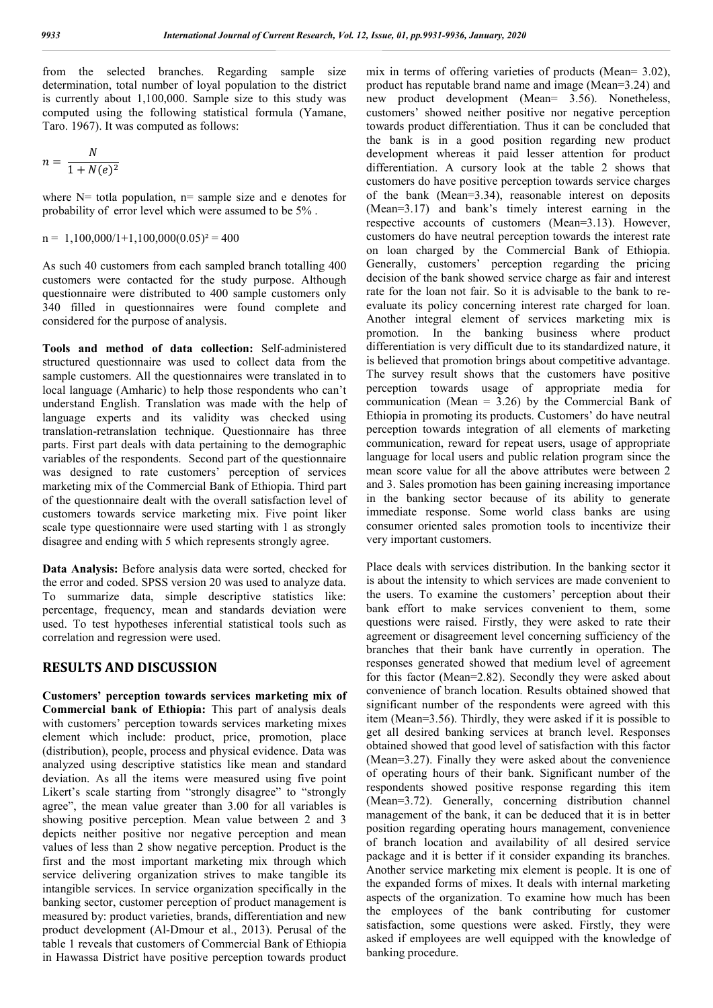from the selected branches. Regarding sample size determination, total number of loyal population to the district is currently about 1,100,000. Sample size to this study was computed using the following statistical formula (Yamane, Taro. 1967). It was computed as follows:

$$
n = \frac{N}{1 + N(e)^2}
$$

where  $N=$  totla population,  $n=$  sample size and e denotes for probability of error level which were assumed to be 5% .

$$
n = 1,100,000/1+1,100,000(0.05)^2 = 400
$$

As such 40 customers from each sampled branch totalling 400 customers were contacted for the study purpose. Although questionnaire were distributed to 400 sample customers only 340 filled in questionnaires were found complete and considered for the purpose of analysis.

**Tools and method of data collection:** Self-administered structured questionnaire was used to collect data from the sample customers. All the questionnaires were translated in to local language (Amharic) to help those respondents who can't understand English. Translation was made with the help of language experts and its validity was checked using translation-retranslation technique. Questionnaire has three parts. First part deals with data pertaining to the demographic variables of the respondents. Second part of the questionnaire was designed to rate customers' perception of services marketing mix of the Commercial Bank of Ethiopia. Third part of the questionnaire dealt with the overall satisfaction level of customers towards service marketing mix. Five point liker scale type questionnaire were used starting with 1 as strongly disagree and ending with 5 which represents strongly agree.

**Data Analysis:** Before analysis data were sorted, checked for the error and coded. SPSS version 20 was used to analyze data. To summarize data, simple descriptive statistics like: percentage, frequency, mean and standards deviation were used. To test hypotheses inferential statistical tools such as correlation and regression were used.

### **RESULTS AND DISCUSSION**

**Customers' perception towards services marketing mix of Commercial bank of Ethiopia:** This part of analysis deals with customers' perception towards services marketing mixes element which include: product, price, promotion, place (distribution), people, process and physical evidence. Data was analyzed using descriptive statistics like mean and standard deviation. As all the items were measured using five point Likert's scale starting from "strongly disagree" to "strongly agree", the mean value greater than 3.00 for all variables is showing positive perception. Mean value between 2 and 3 depicts neither positive nor negative perception and mean values of less than 2 show negative perception. Product is the first and the most important marketing mix through which service delivering organization strives to make tangible its intangible services. In service organization specifically in the banking sector, customer perception of product management is measured by: product varieties, brands, differentiation and new product development (Al-Dmour et al., 2013). Perusal of the table 1 reveals that customers of Commercial Bank of Ethiopia in Hawassa District have positive perception towards product

mix in terms of offering varieties of products (Mean= 3.02), product has reputable brand name and image (Mean=3.24) and new product development (Mean= 3.56). Nonetheless, customers' showed neither positive nor negative perception towards product differentiation. Thus it can be concluded that the bank is in a good position regarding new product development whereas it paid lesser attention for product differentiation. A cursory look at the table 2 shows that customers do have positive perception towards service charges of the bank (Mean=3.34), reasonable interest on deposits (Mean=3.17) and bank's timely interest earning in the respective accounts of customers (Mean=3.13). However, customers do have neutral perception towards the interest rate on loan charged by the Commercial Bank of Ethiopia. Generally, customers' perception regarding the pricing decision of the bank showed service charge as fair and interest rate for the loan not fair. So it is advisable to the bank to reevaluate its policy concerning interest rate charged for loan. Another integral element of services marketing mix is promotion. In the banking business where product differentiation is very difficult due to its standardized nature, it is believed that promotion brings about competitive advantage. The survey result shows that the customers have positive perception towards usage of appropriate media for communication (Mean =  $3.26$ ) by the Commercial Bank of Ethiopia in promoting its products. Customers' do have neutral perception towards integration of all elements of marketing communication, reward for repeat users, usage of appropriate language for local users and public relation program since the mean score value for all the above attributes were between 2 and 3. Sales promotion has been gaining increasing importance in the banking sector because of its ability to generate immediate response. Some world class banks are using consumer oriented sales promotion tools to incentivize their very important customers.

Place deals with services distribution. In the banking sector it is about the intensity to which services are made convenient to the users. To examine the customers' perception about their bank effort to make services convenient to them, some questions were raised. Firstly, they were asked to rate their agreement or disagreement level concerning sufficiency of the branches that their bank have currently in operation. The responses generated showed that medium level of agreement for this factor (Mean=2.82). Secondly they were asked about convenience of branch location. Results obtained showed that significant number of the respondents were agreed with this item (Mean=3.56). Thirdly, they were asked if it is possible to get all desired banking services at branch level. Responses obtained showed that good level of satisfaction with this factor (Mean=3.27). Finally they were asked about the convenience of operating hours of their bank. Significant number of the respondents showed positive response regarding this item (Mean=3.72). Generally, concerning distribution channel management of the bank, it can be deduced that it is in better position regarding operating hours management, convenience of branch location and availability of all desired service package and it is better if it consider expanding its branches. Another service marketing mix element is people. It is one of the expanded forms of mixes. It deals with internal marketing aspects of the organization. To examine how much has been the employees of the bank contributing for customer satisfaction, some questions were asked. Firstly, they were asked if employees are well equipped with the knowledge of banking procedure.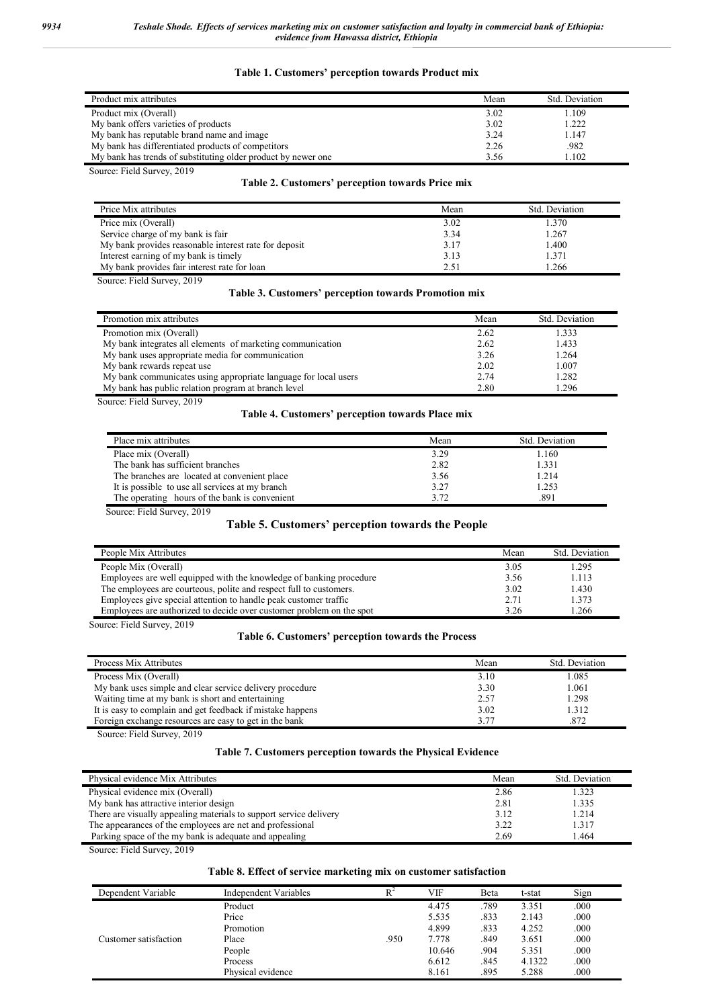#### **Table 1. Customers' perception towards Product mix**

| Product mix attributes                                        | Mean | Std. Deviation |
|---------------------------------------------------------------|------|----------------|
| Product mix (Overall)                                         | 3.02 | 1.109          |
| My bank offers varieties of products                          | 3.02 | 1.222          |
| My bank has reputable brand name and image                    | 3.24 | 1.147          |
| My bank has differentiated products of competitors            | 2.26 | .982           |
| My bank has trends of substituting older product by newer one | 3.56 | 1.102          |

Source: Field Survey, 2019

#### **Table 2. Customers' perception towards Price mix**

| Price Mix attributes                                  | Mean | Std. Deviation |
|-------------------------------------------------------|------|----------------|
| Price mix (Overall)                                   | 3.02 | 1.370          |
| Service charge of my bank is fair                     | 3.34 | 1.267          |
| My bank provides reasonable interest rate for deposit | 3.17 | 1.400          |
| Interest earning of my bank is timely                 | 3.13 | 1.371          |
| My bank provides fair interest rate for loan          | 2.51 | .266           |

Source: Field Survey, 2019

#### **Table 3. Customers' perception towards Promotion mix**

| Promotion mix attributes                                        | Mean | Std. Deviation |
|-----------------------------------------------------------------|------|----------------|
| Promotion mix (Overall)                                         | 2.62 | 1.333          |
| My bank integrates all elements of marketing communication      | 2.62 | 1.433          |
| My bank uses appropriate media for communication                | 3.26 | 1.264          |
| My bank rewards repeat use                                      | 2.02 | 1.007          |
| My bank communicates using appropriate language for local users | 2.74 | 1.282          |
| My bank has public relation program at branch level             | 2.80 | .296           |

Source: Field Survey, 2019

### **Table 4. Customers' perception towards Place mix**

| Place mix attributes                            | Mean | Std. Deviation |
|-------------------------------------------------|------|----------------|
| Place mix (Overall)                             | 3.29 | 1.160          |
| The bank has sufficient branches                | 2.82 | 1.331          |
| The branches are located at convenient place    | 3.56 | 1.214          |
| It is possible to use all services at my branch | 3.27 | 1.253          |
| The operating hours of the bank is convenient   | 3.72 | .891           |

Source: Field Survey, 2019

### **Table 5. Customers' perception towards the People**

| People Mix Attributes                                                | Mean | Std. Deviation |
|----------------------------------------------------------------------|------|----------------|
| People Mix (Overall)                                                 | 3.05 | 1.295          |
| Employees are well equipped with the knowledge of banking procedure  | 3.56 | 1.113          |
| The employees are courteous, polite and respect full to customers.   | 3.02 | 1.430          |
| Employees give special attention to handle peak customer traffic     | 2.71 | 1.373          |
| Employees are authorized to decide over customer problem on the spot | 3.26 | 1.266          |
| Source: Field Survey, 2019                                           |      |                |

### **Table 6. Customers' perception towards the Process**

| Process Mix Attributes                                     | Mean | Std. Deviation |
|------------------------------------------------------------|------|----------------|
| Process Mix (Overall)                                      | 3.10 | 1.085          |
| My bank uses simple and clear service delivery procedure   | 3.30 | 1.061          |
| Waiting time at my bank is short and entertaining          | 2.57 | 1.298          |
| It is easy to complain and get feedback if mistake happens | 3.02 | 1.312          |
| Foreign exchange resources are easy to get in the bank     | 3.77 | .872           |

Source: Field Survey, 2019

## **Table 7. Customers perception towards the Physical Evidence**

| Physical evidence Mix Attributes                                   | Mean | Std. Deviation |
|--------------------------------------------------------------------|------|----------------|
| Physical evidence mix (Overall)                                    | 2.86 | 1.323          |
| My bank has attractive interior design                             | 2.81 | 1.335          |
| There are visually appealing materials to support service delivery | 3.12 | 1.214          |
| The appearances of the employees are net and professional          | 3.22 | 1.317          |
| Parking space of the my bank is adequate and appealing             | 2.69 | 1.464          |

Source: Field Survey, 2019

## **Table 8. Effect of service marketing mix on customer satisfaction**

| Dependent Variable    | Independent Variables | $\mathbb{R}^2$ | VIF    | Beta | t-stat | Sign |
|-----------------------|-----------------------|----------------|--------|------|--------|------|
| Customer satisfaction | Product               |                | 4.475  | .789 | 3.351  | .000 |
|                       | Price                 |                | 5.535  | .833 | 2.143  | .000 |
|                       | Promotion             |                | 4.899  | .833 | 4.252  | .000 |
|                       | Place                 | .950           | 7.778  | .849 | 3.651  | .000 |
|                       | People                |                | 10.646 | .904 | 5.351  | .000 |
|                       | Process               |                | 6.612  | .845 | 4.1322 | .000 |
|                       | Physical evidence     |                | 8.161  | .895 | 5.288  | .000 |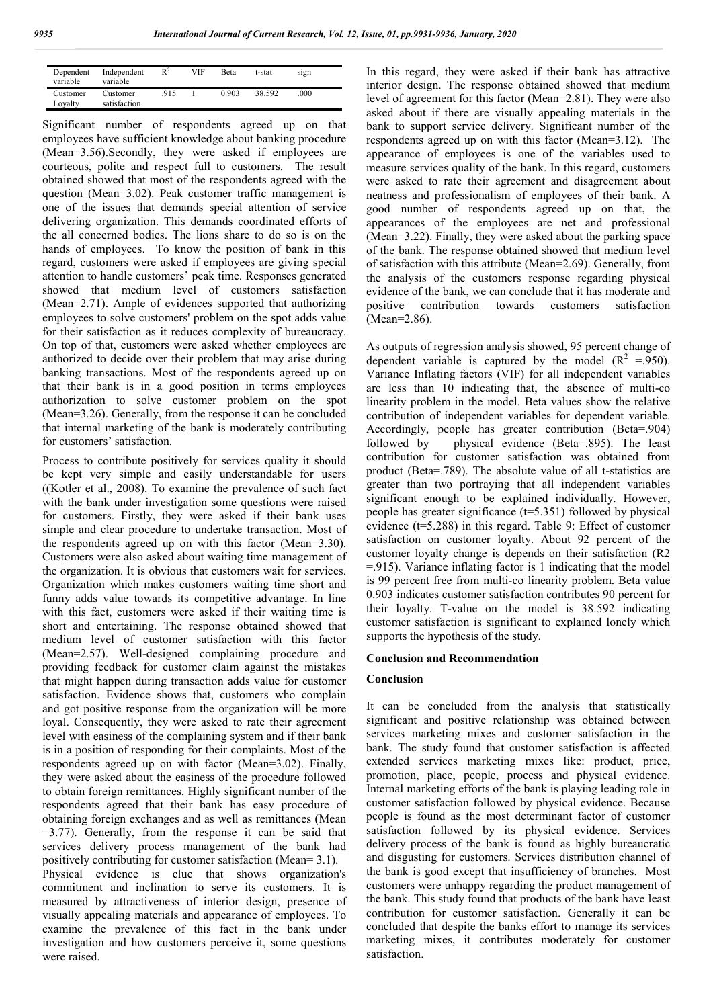| Dependent<br>variable | Independent<br>variable  | $\mathsf{R}^2$ | VIF | <b>Beta</b> | t-stat | sign |  |
|-----------------------|--------------------------|----------------|-----|-------------|--------|------|--|
| Customer<br>Loyalty   | Customer<br>satisfaction | .915           |     | 0.903       | 38.592 | .000 |  |

Significant number of respondents agreed up on that employees have sufficient knowledge about banking procedure (Mean=3.56).Secondly, they were asked if employees are courteous, polite and respect full to customers. The result obtained showed that most of the respondents agreed with the question (Mean=3.02). Peak customer traffic management is one of the issues that demands special attention of service delivering organization. This demands coordinated efforts of the all concerned bodies. The lions share to do so is on the hands of employees. To know the position of bank in this regard, customers were asked if employees are giving special attention to handle customers' peak time. Responses generated showed that medium level of customers satisfaction (Mean=2.71). Ample of evidences supported that authorizing employees to solve customers' problem on the spot adds value for their satisfaction as it reduces complexity of bureaucracy. On top of that, customers were asked whether employees are authorized to decide over their problem that may arise during banking transactions. Most of the respondents agreed up on that their bank is in a good position in terms employees authorization to solve customer problem on the spot (Mean=3.26). Generally, from the response it can be concluded that internal marketing of the bank is moderately contributing for customers' satisfaction.

Process to contribute positively for services quality it should be kept very simple and easily understandable for users ((Kotler et al., 2008). To examine the prevalence of such fact with the bank under investigation some questions were raised for customers. Firstly, they were asked if their bank uses simple and clear procedure to undertake transaction. Most of the respondents agreed up on with this factor (Mean=3.30). Customers were also asked about waiting time management of the organization. It is obvious that customers wait for services. Organization which makes customers waiting time short and funny adds value towards its competitive advantage. In line with this fact, customers were asked if their waiting time is short and entertaining. The response obtained showed that medium level of customer satisfaction with this factor (Mean=2.57). Well-designed complaining procedure and providing feedback for customer claim against the mistakes that might happen during transaction adds value for customer satisfaction. Evidence shows that, customers who complain and got positive response from the organization will be more loyal. Consequently, they were asked to rate their agreement level with easiness of the complaining system and if their bank is in a position of responding for their complaints. Most of the respondents agreed up on with factor (Mean=3.02). Finally, they were asked about the easiness of the procedure followed to obtain foreign remittances. Highly significant number of the respondents agreed that their bank has easy procedure of obtaining foreign exchanges and as well as remittances (Mean  $=3.77$ ). Generally, from the response it can be said that services delivery process management of the bank had positively contributing for customer satisfaction (Mean= 3.1). Physical evidence is clue that shows organization's commitment and inclination to serve its customers. It is measured by attractiveness of interior design, presence of visually appealing materials and appearance of employees. To examine the prevalence of this fact in the bank under investigation and how customers perceive it, some questions were raised.

In this regard, they were asked if their bank has attractive interior design. The response obtained showed that medium level of agreement for this factor (Mean=2.81). They were also asked about if there are visually appealing materials in the bank to support service delivery. Significant number of the respondents agreed up on with this factor (Mean=3.12). The appearance of employees is one of the variables used to measure services quality of the bank. In this regard, customers were asked to rate their agreement and disagreement about neatness and professionalism of employees of their bank. A good number of respondents agreed up on that, the appearances of the employees are net and professional (Mean=3.22). Finally, they were asked about the parking space of the bank. The response obtained showed that medium level of satisfaction with this attribute (Mean=2.69). Generally, from the analysis of the customers response regarding physical evidence of the bank, we can conclude that it has moderate and positive contribution towards customers satisfaction (Mean=2.86).

As outputs of regression analysis showed, 95 percent change of dependent variable is captured by the model  $(R^2 = 950)$ . Variance Inflating factors (VIF) for all independent variables are less than 10 indicating that, the absence of multi-co linearity problem in the model. Beta values show the relative contribution of independent variables for dependent variable. Accordingly, people has greater contribution (Beta=.904) followed by physical evidence (Beta=.895). The least contribution for customer satisfaction was obtained from product (Beta=.789). The absolute value of all t-statistics are greater than two portraying that all independent variables significant enough to be explained individually. However, people has greater significance (t=5.351) followed by physical evidence (t=5.288) in this regard. Table 9: Effect of customer satisfaction on customer loyalty. About 92 percent of the customer loyalty change is depends on their satisfaction (R2 =.915). Variance inflating factor is 1 indicating that the model is 99 percent free from multi-co linearity problem. Beta value 0.903 indicates customer satisfaction contributes 90 percent for their loyalty. T-value on the model is 38.592 indicating customer satisfaction is significant to explained lonely which supports the hypothesis of the study.

#### **Conclusion and Recommendation**

#### **Conclusion**

It can be concluded from the analysis that statistically significant and positive relationship was obtained between services marketing mixes and customer satisfaction in the bank. The study found that customer satisfaction is affected extended services marketing mixes like: product, price, promotion, place, people, process and physical evidence. Internal marketing efforts of the bank is playing leading role in customer satisfaction followed by physical evidence. Because people is found as the most determinant factor of customer satisfaction followed by its physical evidence. Services delivery process of the bank is found as highly bureaucratic and disgusting for customers. Services distribution channel of the bank is good except that insufficiency of branches. Most customers were unhappy regarding the product management of the bank. This study found that products of the bank have least contribution for customer satisfaction. Generally it can be concluded that despite the banks effort to manage its services marketing mixes, it contributes moderately for customer satisfaction.